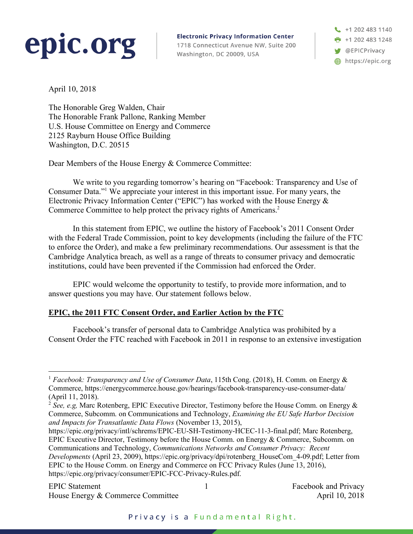# epic.org

**Electronic Privacy Information Center** 1718 Connecticut Avenue NW, Suite 200 Washington, DC 20009, USA

+1 202 483 1140  $+12024831248$ **W** @EPICPrivacy https://epic.org

April 10, 2018

The Honorable Greg Walden, Chair The Honorable Frank Pallone, Ranking Member U.S. House Committee on Energy and Commerce 2125 Rayburn House Office Building Washington, D.C. 20515

Dear Members of the House Energy & Commerce Committee:

We write to you regarding tomorrow's hearing on "Facebook: Transparency and Use of Consumer Data."1 We appreciate your interest in this important issue. For many years, the Electronic Privacy Information Center ("EPIC") has worked with the House Energy & Commerce Committee to help protect the privacy rights of Americans.2

In this statement from EPIC, we outline the history of Facebook's 2011 Consent Order with the Federal Trade Commission, point to key developments (including the failure of the FTC to enforce the Order), and make a few preliminary recommendations. Our assessment is that the Cambridge Analytica breach, as well as a range of threats to consumer privacy and democratic institutions, could have been prevented if the Commission had enforced the Order.

EPIC would welcome the opportunity to testify, to provide more information, and to answer questions you may have. Our statement follows below.

# **EPIC, the 2011 FTC Consent Order, and Earlier Action by the FTC**

Facebook's transfer of personal data to Cambridge Analytica was prohibited by a Consent Order the FTC reached with Facebook in 2011 in response to an extensive investigation

<sup>&</sup>lt;sup>1</sup> *Facebook: Transparency and Use of Consumer Data*, 115th Cong. (2018), H. Comm. on Energy & Commerce, https://energycommerce.house.gov/hearings/facebook-transparency-use-consumer-data/ (April 11, 2018).

<sup>&</sup>lt;sup>2</sup> See, e.g, Marc Rotenberg, EPIC Executive Director, Testimony before the House Comm. on Energy  $\&$ Commerce, Subcomm. on Communications and Technology, *Examining the EU Safe Harbor Decision and Impacts for Transatlantic Data Flows* (November 13, 2015),

https://epic.org/privacy/intl/schrems/EPIC-EU-SH-Testimony-HCEC-11-3-final.pdf; Marc Rotenberg, EPIC Executive Director, Testimony before the House Comm. on Energy & Commerce, Subcomm. on Communications and Technology, *Communications Networks and Consumer Privacy: Recent Developments* (April 23, 2009), https://epic.org/privacy/dpi/rotenberg\_HouseCom\_4-09.pdf; Letter from EPIC to the House Comm. on Energy and Commerce on FCC Privacy Rules (June 13, 2016), https://epic.org/privacy/consumer/EPIC-FCC-Privacy-Rules.pdf.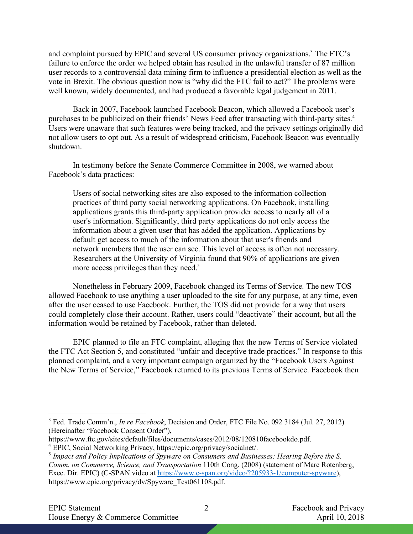and complaint pursued by EPIC and several US consumer privacy organizations. <sup>3</sup> The FTC's failure to enforce the order we helped obtain has resulted in the unlawful transfer of 87 million user records to a controversial data mining firm to influence a presidential election as well as the vote in Brexit. The obvious question now is "why did the FTC fail to act?" The problems were well known, widely documented, and had produced a favorable legal judgement in 2011.

Back in 2007, Facebook launched Facebook Beacon, which allowed a Facebook user's purchases to be publicized on their friends' News Feed after transacting with third-party sites.4 Users were unaware that such features were being tracked, and the privacy settings originally did not allow users to opt out. As a result of widespread criticism, Facebook Beacon was eventually shutdown.

In testimony before the Senate Commerce Committee in 2008, we warned about Facebook's data practices:

Users of social networking sites are also exposed to the information collection practices of third party social networking applications. On Facebook, installing applications grants this third-party application provider access to nearly all of a user's information. Significantly, third party applications do not only access the information about a given user that has added the application. Applications by default get access to much of the information about that user's friends and network members that the user can see. This level of access is often not necessary. Researchers at the University of Virginia found that 90% of applications are given more access privileges than they need.<sup>5</sup>

Nonetheless in February 2009, Facebook changed its Terms of Service. The new TOS allowed Facebook to use anything a user uploaded to the site for any purpose, at any time, even after the user ceased to use Facebook. Further, the TOS did not provide for a way that users could completely close their account. Rather, users could "deactivate" their account, but all the information would be retained by Facebook, rather than deleted.

EPIC planned to file an FTC complaint, alleging that the new Terms of Service violated the FTC Act Section 5, and constituted "unfair and deceptive trade practices." In response to this planned complaint, and a very important campaign organized by the "Facebook Users Against the New Terms of Service," Facebook returned to its previous Terms of Service. Facebook then

 <sup>3</sup> Fed. Trade Comm'n., *In re Facebook*, Decision and Order, FTC File No. 092 3184 (Jul. 27, 2012) (Hereinafter "Facebook Consent Order"),

https://www.ftc.gov/sites/default/files/documents/cases/2012/08/120810facebookdo.pdf.

<sup>4</sup> EPIC, Social Networking Privacy, https://epic.org/privacy/socialnet/.

<sup>5</sup> *Impact and Policy Implications of Spyware on Consumers and Businesses: Hearing Before the S. Comm. on Commerce, Science, and Transportation* 110th Cong. (2008) (statement of Marc Rotenberg, Exec. Dir. EPIC) (C-SPAN video at https://www.c-span.org/video/?205933-1/computer-spyware), https://www.epic.org/privacy/dv/Spyware\_Test061108.pdf.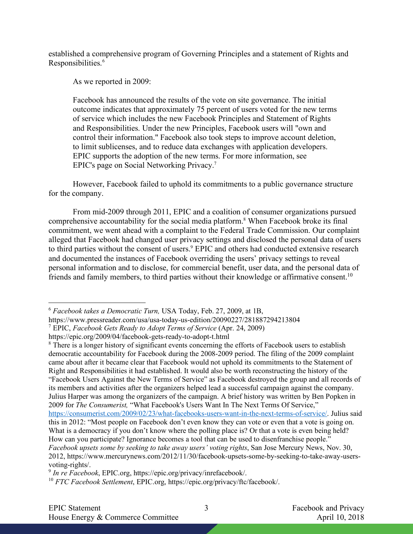established a comprehensive program of Governing Principles and a statement of Rights and Responsibilities.<sup>6</sup>

As we reported in 2009:

Facebook has announced the results of the vote on site governance. The initial outcome indicates that approximately 75 percent of users voted for the new terms of service which includes the new Facebook Principles and Statement of Rights and Responsibilities. Under the new Principles, Facebook users will "own and control their information." Facebook also took steps to improve account deletion, to limit sublicenses, and to reduce data exchanges with application developers. EPIC supports the adoption of the new terms. For more information, see EPIC's page on Social Networking Privacy.7

However, Facebook failed to uphold its commitments to a public governance structure for the company.

From mid-2009 through 2011, EPIC and a coalition of consumer organizations pursued comprehensive accountability for the social media platform.<sup>8</sup> When Facebook broke its final commitment, we went ahead with a complaint to the Federal Trade Commission. Our complaint alleged that Facebook had changed user privacy settings and disclosed the personal data of users to third parties without the consent of users. <sup>9</sup> EPIC and others had conducted extensive research and documented the instances of Facebook overriding the users' privacy settings to reveal personal information and to disclose, for commercial benefit, user data, and the personal data of friends and family members, to third parties without their knowledge or affirmative consent.10

 <sup>6</sup> *Facebook takes a Democratic Turn,* USA Today, Feb. 27, 2009, at 1B,

https://www.pressreader.com/usa/usa-today-us-edition/20090227/281887294213804

<sup>7</sup> EPIC, *Facebook Gets Ready to Adopt Terms of Service* (Apr. 24, 2009)

https://epic.org/2009/04/facebook-gets-ready-to-adopt-t.html

<sup>&</sup>lt;sup>8</sup> There is a longer history of significant events concerning the efforts of Facebook users to establish democratic accountability for Facebook during the 2008-2009 period. The filing of the 2009 complaint came about after it became clear that Facebook would not uphold its commitments to the Statement of Right and Responsibilities it had established. It would also be worth reconstructing the history of the "Facebook Users Against the New Terms of Service" as Facebook destroyed the group and all records of its members and activities after the organizers helped lead a successful campaign against the company. Julius Harper was among the organizers of the campaign. A brief history was written by Ben Popken in 2009 for *The Consumerist,* "What Facebook's Users Want In The Next Terms Of Service," https://consumerist.com/2009/02/23/what-facebooks-users-want-in-the-next-terms-of-service/. Julius said this in 2012: "Most people on Facebook don't even know they can vote or even that a vote is going on. What is a democracy if you don't know where the polling place is? Or that a vote is even being held? How can you participate? Ignorance becomes a tool that can be used to disenfranchise people." *Facebook upsets some by seeking to take away users' voting rights*, San Jose Mercury News, Nov. 30, 2012, https://www.mercurynews.com/2012/11/30/facebook-upsets-some-by-seeking-to-take-away-usersvoting-rights/. 9 *In re Facebook*, EPIC.org, https://epic.org/privacy/inrefacebook/.

<sup>10</sup> *FTC Facebook Settlement*, EPIC.org, https://epic.org/privacy/ftc/facebook/.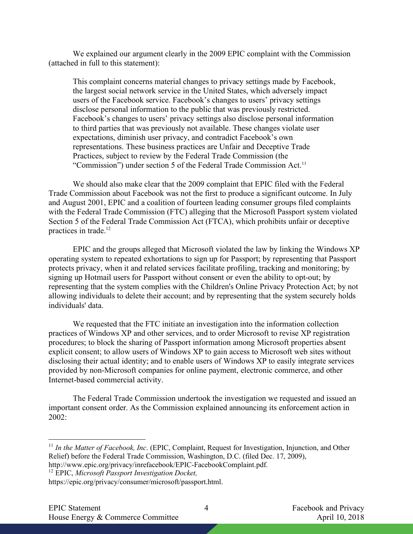We explained our argument clearly in the 2009 EPIC complaint with the Commission (attached in full to this statement):

This complaint concerns material changes to privacy settings made by Facebook, the largest social network service in the United States, which adversely impact users of the Facebook service. Facebook's changes to users' privacy settings disclose personal information to the public that was previously restricted. Facebook's changes to users' privacy settings also disclose personal information to third parties that was previously not available. These changes violate user expectations, diminish user privacy, and contradict Facebook's own representations. These business practices are Unfair and Deceptive Trade Practices, subject to review by the Federal Trade Commission (the "Commission") under section 5 of the Federal Trade Commission Act.<sup>11</sup>

We should also make clear that the 2009 complaint that EPIC filed with the Federal Trade Commission about Facebook was not the first to produce a significant outcome. In July and August 2001, EPIC and a coalition of fourteen leading consumer groups filed complaints with the Federal Trade Commission (FTC) alleging that the Microsoft Passport system violated Section 5 of the Federal Trade Commission Act (FTCA), which prohibits unfair or deceptive practices in trade.<sup>12</sup>

EPIC and the groups alleged that Microsoft violated the law by linking the Windows XP operating system to repeated exhortations to sign up for Passport; by representing that Passport protects privacy, when it and related services facilitate profiling, tracking and monitoring; by signing up Hotmail users for Passport without consent or even the ability to opt-out; by representing that the system complies with the Children's Online Privacy Protection Act; by not allowing individuals to delete their account; and by representing that the system securely holds individuals' data.

We requested that the FTC initiate an investigation into the information collection practices of Windows XP and other services, and to order Microsoft to revise XP registration procedures; to block the sharing of Passport information among Microsoft properties absent explicit consent; to allow users of Windows XP to gain access to Microsoft web sites without disclosing their actual identity; and to enable users of Windows XP to easily integrate services provided by non-Microsoft companies for online payment, electronic commerce, and other Internet-based commercial activity.

The Federal Trade Commission undertook the investigation we requested and issued an important consent order. As the Commission explained announcing its enforcement action in 2002:

<sup>&</sup>lt;sup>11</sup> In the Matter of Facebook, Inc. (EPIC, Complaint, Request for Investigation, Injunction, and Other Relief) before the Federal Trade Commission, Washington, D.C. (filed Dec. 17, 2009), http://www.epic.org/privacy/inrefacebook/EPIC-FacebookComplaint.pdf.

<sup>12</sup> EPIC, *Microsoft Passport Investigation Docket,*

https://epic.org/privacy/consumer/microsoft/passport.html.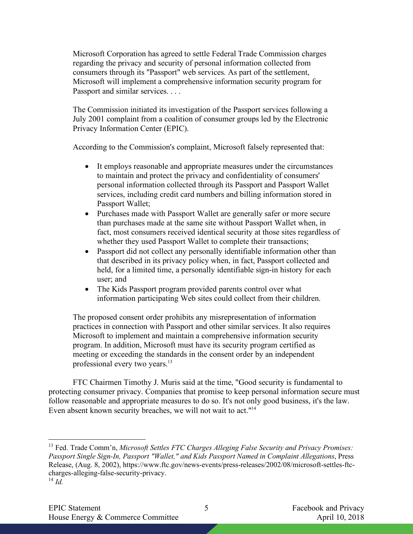Microsoft Corporation has agreed to settle Federal Trade Commission charges regarding the privacy and security of personal information collected from consumers through its "Passport" web services. As part of the settlement, Microsoft will implement a comprehensive information security program for Passport and similar services. . . .

The Commission initiated its investigation of the Passport services following a July 2001 complaint from a coalition of consumer groups led by the Electronic Privacy Information Center (EPIC).

According to the Commission's complaint, Microsoft falsely represented that:

- It employs reasonable and appropriate measures under the circumstances to maintain and protect the privacy and confidentiality of consumers' personal information collected through its Passport and Passport Wallet services, including credit card numbers and billing information stored in Passport Wallet;
- Purchases made with Passport Wallet are generally safer or more secure than purchases made at the same site without Passport Wallet when, in fact, most consumers received identical security at those sites regardless of whether they used Passport Wallet to complete their transactions;
- Passport did not collect any personally identifiable information other than that described in its privacy policy when, in fact, Passport collected and held, for a limited time, a personally identifiable sign-in history for each user; and
- The Kids Passport program provided parents control over what information participating Web sites could collect from their children.

The proposed consent order prohibits any misrepresentation of information practices in connection with Passport and other similar services. It also requires Microsoft to implement and maintain a comprehensive information security program. In addition, Microsoft must have its security program certified as meeting or exceeding the standards in the consent order by an independent professional every two years.<sup>13</sup>

FTC Chairmen Timothy J. Muris said at the time, "Good security is fundamental to protecting consumer privacy. Companies that promise to keep personal information secure must follow reasonable and appropriate measures to do so. It's not only good business, it's the law. Even absent known security breaches, we will not wait to act."14

 13 Fed. Trade Comm'n, *Microsoft Settles FTC Charges Alleging False Security and Privacy Promises: Passport Single Sign-In, Passport "Wallet," and Kids Passport Named in Complaint Allegations*, Press Release, (Aug. 8, 2002), https://www.ftc.gov/news-events/press-releases/2002/08/microsoft-settles-ftccharges-alleging-false-security-privacy.

 $^{14}$  *Id*<sup> $\overline{d}$ </sup>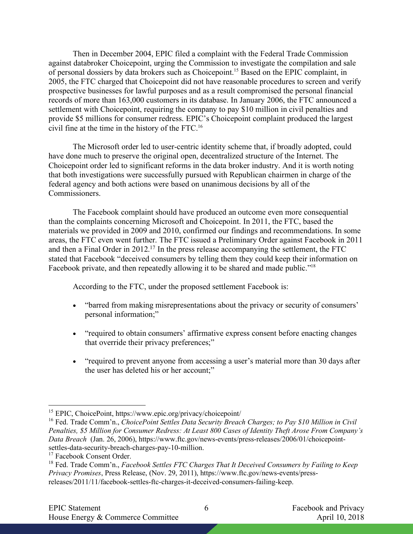Then in December 2004, EPIC filed a complaint with the Federal Trade Commission against databroker Choicepoint, urging the Commission to investigate the compilation and sale of personal dossiers by data brokers such as Choicepoint.15 Based on the EPIC complaint, in 2005, the FTC charged that Choicepoint did not have reasonable procedures to screen and verify prospective businesses for lawful purposes and as a result compromised the personal financial records of more than 163,000 customers in its database. In January 2006, the FTC announced a settlement with Choicepoint, requiring the company to pay \$10 million in civil penalties and provide \$5 millions for consumer redress. EPIC's Choicepoint complaint produced the largest civil fine at the time in the history of the FTC.16

The Microsoft order led to user-centric identity scheme that, if broadly adopted, could have done much to preserve the original open, decentralized structure of the Internet. The Choicepoint order led to significant reforms in the data broker industry. And it is worth noting that both investigations were successfully pursued with Republican chairmen in charge of the federal agency and both actions were based on unanimous decisions by all of the Commissioners.

The Facebook complaint should have produced an outcome even more consequential than the complaints concerning Microsoft and Choicepoint. In 2011, the FTC, based the materials we provided in 2009 and 2010, confirmed our findings and recommendations. In some areas, the FTC even went further. The FTC issued a Preliminary Order against Facebook in 2011 and then a Final Order in 2012. <sup>17</sup> In the press release accompanying the settlement, the FTC stated that Facebook "deceived consumers by telling them they could keep their information on Facebook private, and then repeatedly allowing it to be shared and made public."<sup>18</sup>

According to the FTC, under the proposed settlement Facebook is:

- "barred from making misrepresentations about the privacy or security of consumers' personal information;"
- "required to obtain consumers' affirmative express consent before enacting changes that override their privacy preferences;"
- "required to prevent anyone from accessing a user's material more than 30 days after the user has deleted his or her account;"

 <sup>15</sup> EPIC, ChoicePoint, https://www.epic.org/privacy/choicepoint/

<sup>16</sup> Fed. Trade Comm'n., *ChoicePoint Settles Data Security Breach Charges; to Pay \$10 Million in Civil Penalties, \$5 Million for Consumer Redress: At Least 800 Cases of Identity Theft Arose From Company's Data Breach* (Jan. 26, 2006), https://www.ftc.gov/news-events/press-releases/2006/01/choicepointsettles-data-security-breach-charges-pay-10-million.

<sup>&</sup>lt;sup>17</sup> Facebook Consent Order.

<sup>18</sup> Fed. Trade Comm'n., *Facebook Settles FTC Charges That It Deceived Consumers by Failing to Keep Privacy Promises*, Press Release, (Nov. 29, 2011), https://www.ftc.gov/news-events/pressreleases/2011/11/facebook-settles-ftc-charges-it-deceived-consumers-failing-keep.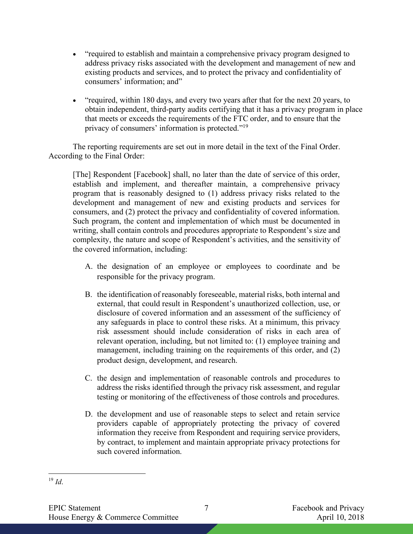- "required to establish and maintain a comprehensive privacy program designed to address privacy risks associated with the development and management of new and existing products and services, and to protect the privacy and confidentiality of consumers' information; and"
- "required, within 180 days, and every two years after that for the next 20 years, to obtain independent, third-party audits certifying that it has a privacy program in place that meets or exceeds the requirements of the FTC order, and to ensure that the privacy of consumers' information is protected."19

The reporting requirements are set out in more detail in the text of the Final Order. According to the Final Order:

[The] Respondent [Facebook] shall, no later than the date of service of this order, establish and implement, and thereafter maintain, a comprehensive privacy program that is reasonably designed to (1) address privacy risks related to the development and management of new and existing products and services for consumers, and (2) protect the privacy and confidentiality of covered information. Such program, the content and implementation of which must be documented in writing, shall contain controls and procedures appropriate to Respondent's size and complexity, the nature and scope of Respondent's activities, and the sensitivity of the covered information, including:

- A. the designation of an employee or employees to coordinate and be responsible for the privacy program.
- B. the identification of reasonably foreseeable, material risks, both internal and external, that could result in Respondent's unauthorized collection, use, or disclosure of covered information and an assessment of the sufficiency of any safeguards in place to control these risks. At a minimum, this privacy risk assessment should include consideration of risks in each area of relevant operation, including, but not limited to: (1) employee training and management, including training on the requirements of this order, and (2) product design, development, and research.
- C. the design and implementation of reasonable controls and procedures to address the risks identified through the privacy risk assessment, and regular testing or monitoring of the effectiveness of those controls and procedures.
- D. the development and use of reasonable steps to select and retain service providers capable of appropriately protecting the privacy of covered information they receive from Respondent and requiring service providers, by contract, to implement and maintain appropriate privacy protections for such covered information.

 <sup>19</sup> *Id*.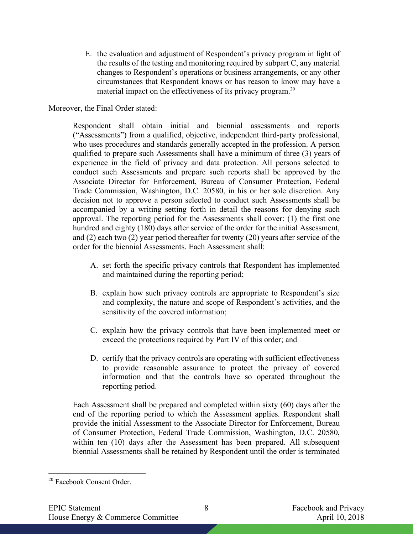E. the evaluation and adjustment of Respondent's privacy program in light of the results of the testing and monitoring required by subpart C, any material changes to Respondent's operations or business arrangements, or any other circumstances that Respondent knows or has reason to know may have a material impact on the effectiveness of its privacy program.<sup>20</sup>

Moreover, the Final Order stated:

Respondent shall obtain initial and biennial assessments and reports ("Assessments") from a qualified, objective, independent third-party professional, who uses procedures and standards generally accepted in the profession. A person qualified to prepare such Assessments shall have a minimum of three (3) years of experience in the field of privacy and data protection. All persons selected to conduct such Assessments and prepare such reports shall be approved by the Associate Director for Enforcement, Bureau of Consumer Protection, Federal Trade Commission, Washington, D.C. 20580, in his or her sole discretion. Any decision not to approve a person selected to conduct such Assessments shall be accompanied by a writing setting forth in detail the reasons for denying such approval. The reporting period for the Assessments shall cover: (1) the first one hundred and eighty (180) days after service of the order for the initial Assessment, and (2) each two (2) year period thereafter for twenty (20) years after service of the order for the biennial Assessments. Each Assessment shall:

- A. set forth the specific privacy controls that Respondent has implemented and maintained during the reporting period;
- B. explain how such privacy controls are appropriate to Respondent's size and complexity, the nature and scope of Respondent's activities, and the sensitivity of the covered information;
- C. explain how the privacy controls that have been implemented meet or exceed the protections required by Part IV of this order; and
- D. certify that the privacy controls are operating with sufficient effectiveness to provide reasonable assurance to protect the privacy of covered information and that the controls have so operated throughout the reporting period.

Each Assessment shall be prepared and completed within sixty (60) days after the end of the reporting period to which the Assessment applies. Respondent shall provide the initial Assessment to the Associate Director for Enforcement, Bureau of Consumer Protection, Federal Trade Commission, Washington, D.C. 20580, within ten (10) days after the Assessment has been prepared. All subsequent biennial Assessments shall be retained by Respondent until the order is terminated

 <sup>20</sup> Facebook Consent Order.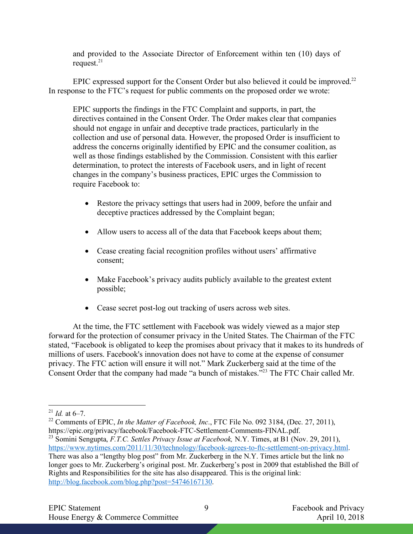and provided to the Associate Director of Enforcement within ten (10) days of request. $21$ 

EPIC expressed support for the Consent Order but also believed it could be improved.<sup>22</sup> In response to the FTC's request for public comments on the proposed order we wrote:

EPIC supports the findings in the FTC Complaint and supports, in part, the directives contained in the Consent Order. The Order makes clear that companies should not engage in unfair and deceptive trade practices, particularly in the collection and use of personal data. However, the proposed Order is insufficient to address the concerns originally identified by EPIC and the consumer coalition, as well as those findings established by the Commission. Consistent with this earlier determination, to protect the interests of Facebook users, and in light of recent changes in the company's business practices, EPIC urges the Commission to require Facebook to:

- Restore the privacy settings that users had in 2009, before the unfair and deceptive practices addressed by the Complaint began;
- Allow users to access all of the data that Facebook keeps about them;
- Cease creating facial recognition profiles without users' affirmative consent;
- Make Facebook's privacy audits publicly available to the greatest extent possible;
- Cease secret post-log out tracking of users across web sites.

At the time, the FTC settlement with Facebook was widely viewed as a major step forward for the protection of consumer privacy in the United States. The Chairman of the FTC stated, "Facebook is obligated to keep the promises about privacy that it makes to its hundreds of millions of users. Facebook's innovation does not have to come at the expense of consumer privacy. The FTC action will ensure it will not." Mark Zuckerberg said at the time of the Consent Order that the company had made "a bunch of mistakes."23 The FTC Chair called Mr.

<sup>&</sup>lt;sup>21</sup> *Id.* at 6–7.

<sup>&</sup>lt;sup>22</sup> Comments of EPIC, *In the Matter of Facebook, Inc.*, FTC File No. 092 3184, (Dec. 27, 2011), https://epic.org/privacy/facebook/Facebook-FTC-Settlement-Comments-FINAL.pdf.

<sup>23</sup> Somini Sengupta, *F.T.C. Settles Privacy Issue at Facebook,* N.Y. Times, at B1 (Nov. 29, 2011), https://www.nytimes.com/2011/11/30/technology/facebook-agrees-to-ftc-settlement-on-privacy.html. There was also a "lengthy blog post" from Mr. Zuckerberg in the N.Y. Times article but the link no longer goes to Mr. Zuckerberg's original post. Mr. Zuckerberg's post in 2009 that established the Bill of Rights and Responsibilities for the site has also disappeared. This is the original link: http://blog.facebook.com/blog.php?post=54746167130.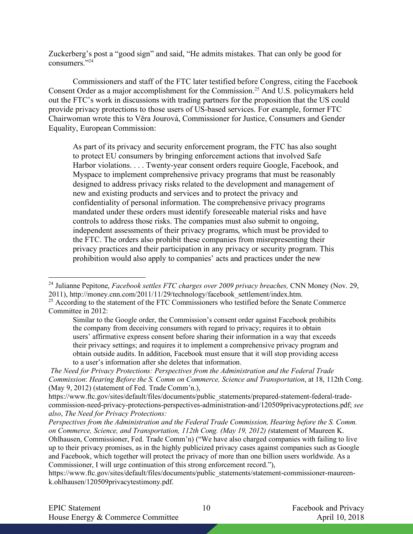Zuckerberg's post a "good sign" and said, "He admits mistakes. That can only be good for consumers."24

Commissioners and staff of the FTC later testified before Congress, citing the Facebook Consent Order as a major accomplishment for the Commission.<sup>25</sup> And U.S. policymakers held out the FTC's work in discussions with trading partners for the proposition that the US could provide privacy protections to those users of US-based services. For example, former FTC Chairwoman wrote this to Věra Jourová, Commissioner for Justice, Consumers and Gender Equality, European Commission:

As part of its privacy and security enforcement program, the FTC has also sought to protect EU consumers by bringing enforcement actions that involved Safe Harbor violations. . . . Twenty-year consent orders require Google, Facebook, and Myspace to implement comprehensive privacy programs that must be reasonably designed to address privacy risks related to the development and management of new and existing products and services and to protect the privacy and confidentiality of personal information. The comprehensive privacy programs mandated under these orders must identify foreseeable material risks and have controls to address those risks. The companies must also submit to ongoing, independent assessments of their privacy programs, which must be provided to the FTC. The orders also prohibit these companies from misrepresenting their privacy practices and their participation in any privacy or security program. This prohibition would also apply to companies' acts and practices under the new

<sup>&</sup>lt;sup>24</sup> Julianne Pepitone, *Facebook settles FTC charges over 2009 privacy breaches*, CNN Money (Nov. 29, 2011), http://money.cnn.com/2011/11/29/technology/facebook\_settlement/index.htm.

<sup>&</sup>lt;sup>25</sup> According to the statement of the FTC Commissioners who testified before the Senate Commerce Committee in 2012:

Similar to the Google order, the Commission's consent order against Facebook prohibits the company from deceiving consumers with regard to privacy; requires it to obtain users' affirmative express consent before sharing their information in a way that exceeds their privacy settings; and requires it to implement a comprehensive privacy program and obtain outside audits. In addition, Facebook must ensure that it will stop providing access to a user's information after she deletes that information.

*The Need for Privacy Protections: Perspectives from the Administration and the Federal Trade Commission*: *Hearing Before the S. Comm on Commerce, Science and Transportation*, at 18, 112th Cong. (May 9, 2012) (statement of Fed. Trade Comm'n.),

https://www.ftc.gov/sites/default/files/documents/public\_statements/prepared-statement-federal-tradecommission-need-privacy-protections-perspectives-administration-and/120509privacyprotections.pdf; *see also*, *The Need for Privacy Protections:*

*Perspectives from the Administration and the Federal Trade Commission, Hearing before the S. Comm. on Commerce, Science, and Transportation, 112th Cong. (May 19, 2012) (*statement of Maureen K. Ohlhausen, Commissioner, Fed. Trade Comm'n) ("We have also charged companies with failing to live up to their privacy promises, as in the highly publicized privacy cases against companies such as Google and Facebook, which together will protect the privacy of more than one billion users worldwide. As a Commissioner, I will urge continuation of this strong enforcement record."),

https://www.ftc.gov/sites/default/files/documents/public\_statements/statement-commissioner-maureenk.ohlhausen/120509privacytestimony.pdf.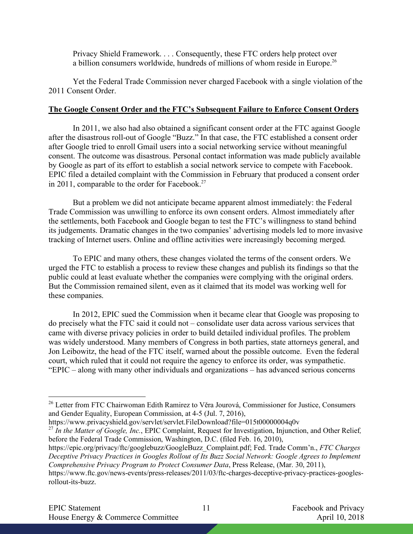Privacy Shield Framework. . . . Consequently, these FTC orders help protect over a billion consumers worldwide, hundreds of millions of whom reside in Europe.<sup>26</sup>

Yet the Federal Trade Commission never charged Facebook with a single violation of the 2011 Consent Order.

#### **The Google Consent Order and the FTC's Subsequent Failure to Enforce Consent Orders**

In 2011, we also had also obtained a significant consent order at the FTC against Google after the disastrous roll-out of Google "Buzz." In that case, the FTC established a consent order after Google tried to enroll Gmail users into a social networking service without meaningful consent. The outcome was disastrous. Personal contact information was made publicly available by Google as part of its effort to establish a social network service to compete with Facebook. EPIC filed a detailed complaint with the Commission in February that produced a consent order in 2011, comparable to the order for Facebook.<sup>27</sup>

But a problem we did not anticipate became apparent almost immediately: the Federal Trade Commission was unwilling to enforce its own consent orders. Almost immediately after the settlements, both Facebook and Google began to test the FTC's willingness to stand behind its judgements. Dramatic changes in the two companies' advertising models led to more invasive tracking of Internet users. Online and offline activities were increasingly becoming merged.

To EPIC and many others, these changes violated the terms of the consent orders. We urged the FTC to establish a process to review these changes and publish its findings so that the public could at least evaluate whether the companies were complying with the original orders. But the Commission remained silent, even as it claimed that its model was working well for these companies.

In 2012, EPIC sued the Commission when it became clear that Google was proposing to do precisely what the FTC said it could not – consolidate user data across various services that came with diverse privacy policies in order to build detailed individual profiles. The problem was widely understood. Many members of Congress in both parties, state attorneys general, and Jon Leibowitz, the head of the FTC itself, warned about the possible outcome. Even the federal court, which ruled that it could not require the agency to enforce its order, was sympathetic. "EPIC – along with many other individuals and organizations – has advanced serious concerns

<sup>&</sup>lt;sup>26</sup> Letter from FTC Chairwoman Edith Ramirez to Věra Jourová, Commissioner for Justice, Consumers and Gender Equality, European Commission, at 4-5 (Jul. 7, 2016),

https://www.privacyshield.gov/servlet/servlet.FileDownload?file=015t00000004q0v

<sup>27</sup> *In the Matter of Google, Inc.*, EPIC Complaint, Request for Investigation, Injunction, and Other Relief*,*  before the Federal Trade Commission, Washington, D.C. (filed Feb. 16, 2010),

https://epic.org/privacy/ftc/googlebuzz/GoogleBuzz\_Complaint.pdf; Fed. Trade Comm'n., *FTC Charges Deceptive Privacy Practices in Googles Rollout of Its Buzz Social Network: Google Agrees to Implement Comprehensive Privacy Program to Protect Consumer Data*, Press Release, (Mar. 30, 2011),

https://www.ftc.gov/news-events/press-releases/2011/03/ftc-charges-deceptive-privacy-practices-googlesrollout-its-buzz.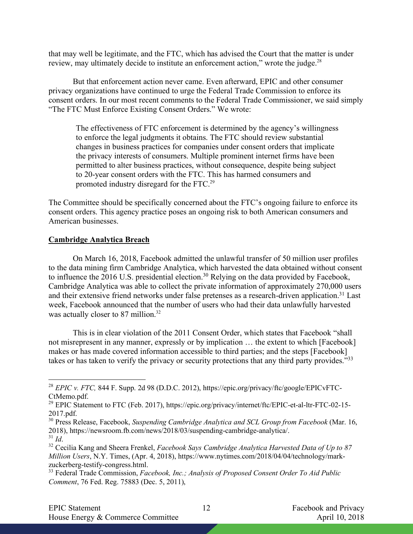that may well be legitimate, and the FTC, which has advised the Court that the matter is under review, may ultimately decide to institute an enforcement action," wrote the judge.<sup>28</sup>

But that enforcement action never came. Even afterward, EPIC and other consumer privacy organizations have continued to urge the Federal Trade Commission to enforce its consent orders. In our most recent comments to the Federal Trade Commissioner, we said simply "The FTC Must Enforce Existing Consent Orders." We wrote:

The effectiveness of FTC enforcement is determined by the agency's willingness to enforce the legal judgments it obtains. The FTC should review substantial changes in business practices for companies under consent orders that implicate the privacy interests of consumers. Multiple prominent internet firms have been permitted to alter business practices, without consequence, despite being subject to 20-year consent orders with the FTC. This has harmed consumers and promoted industry disregard for the FTC.29

The Committee should be specifically concerned about the FTC's ongoing failure to enforce its consent orders. This agency practice poses an ongoing risk to both American consumers and American businesses.

# **Cambridge Analytica Breach**

On March 16, 2018, Facebook admitted the unlawful transfer of 50 million user profiles to the data mining firm Cambridge Analytica, which harvested the data obtained without consent to influence the 2016 U.S. presidential election.<sup>30</sup> Relying on the data provided by Facebook, Cambridge Analytica was able to collect the private information of approximately 270,000 users and their extensive friend networks under false pretenses as a research-driven application.<sup>31</sup> Last week, Facebook announced that the number of users who had their data unlawfully harvested was actually closer to 87 million.<sup>32</sup>

This is in clear violation of the 2011 Consent Order, which states that Facebook "shall not misrepresent in any manner, expressly or by implication … the extent to which [Facebook] makes or has made covered information accessible to third parties; and the steps [Facebook] takes or has taken to verify the privacy or security protections that any third party provides.<sup>"33</sup>

 <sup>28</sup> *EPIC v. FTC,* 844 F. Supp. 2d 98 (D.D.C. 2012), https://epic.org/privacy/ftc/google/EPICvFTC-CtMemo.pdf.

<sup>&</sup>lt;sup>29</sup> EPIC Statement to FTC (Feb. 2017), https://epic.org/privacy/internet/ftc/EPIC-et-al-ltr-FTC-02-15-2017.pdf.

<sup>30</sup> Press Release, Facebook, *Suspending Cambridge Analytica and SCL Group from Facebook* (Mar. 16, 2018), https://newsroom.fb.com/news/2018/03/suspending-cambridge-analytica/. <sup>31</sup> *Id*.

<sup>32</sup> Cecilia Kang and Sheera Frenkel, *Facebook Says Cambridge Analytica Harvested Data of Up to 87 Million Users*, N.Y. Times, (Apr. 4, 2018), https://www.nytimes.com/2018/04/04/technology/markzuckerberg-testify-congress.html.

<sup>33</sup> Federal Trade Commission, *Facebook, Inc.; Analysis of Proposed Consent Order To Aid Public Comment*, 76 Fed. Reg. 75883 (Dec. 5, 2011),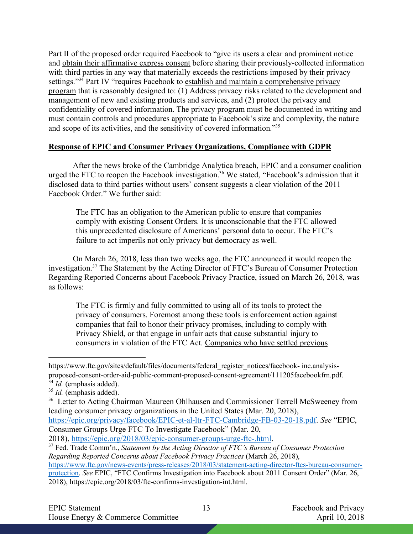Part II of the proposed order required Facebook to "give its users a clear and prominent notice and obtain their affirmative express consent before sharing their previously-collected information with third parties in any way that materially exceeds the restrictions imposed by their privacy settings."<sup>34</sup> Part IV "requires Facebook to establish and maintain a comprehensive privacy program that is reasonably designed to: (1) Address privacy risks related to the development and management of new and existing products and services, and (2) protect the privacy and confidentiality of covered information. The privacy program must be documented in writing and must contain controls and procedures appropriate to Facebook's size and complexity, the nature and scope of its activities, and the sensitivity of covered information."35

## **Response of EPIC and Consumer Privacy Organizations, Compliance with GDPR**

After the news broke of the Cambridge Analytica breach, EPIC and a consumer coalition urged the FTC to reopen the Facebook investigation.<sup>36</sup> We stated, "Facebook's admission that it disclosed data to third parties without users' consent suggests a clear violation of the 2011 Facebook Order." We further said:

The FTC has an obligation to the American public to ensure that companies comply with existing Consent Orders. It is unconscionable that the FTC allowed this unprecedented disclosure of Americans' personal data to occur. The FTC's failure to act imperils not only privacy but democracy as well.

On March 26, 2018, less than two weeks ago, the FTC announced it would reopen the investigation.37 The Statement by the Acting Director of FTC's Bureau of Consumer Protection Regarding Reported Concerns about Facebook Privacy Practice, issued on March 26, 2018, was as follows:

The FTC is firmly and fully committed to using all of its tools to protect the privacy of consumers. Foremost among these tools is enforcement action against companies that fail to honor their privacy promises, including to comply with Privacy Shield, or that engage in unfair acts that cause substantial injury to consumers in violation of the FTC Act. Companies who have settled previous

https://epic.org/privacy/facebook/EPIC-et-al-ltr-FTC-Cambridge-FB-03-20-18.pdf. *See* "EPIC, Consumer Groups Urge FTC To Investigate Facebook" (Mar. 20,

 $\overline{a}$ https://www.ftc.gov/sites/default/files/documents/federal\_register\_notices/facebook- inc.analysisproposed-consent-order-aid-public-comment-proposed-consent-agreement/111205facebookfrn.pdf.

<sup>&</sup>lt;sup>34</sup> *Id.* (emphasis added).

<sup>&</sup>lt;sup>35</sup> *Id.* (emphasis added).

<sup>&</sup>lt;sup>36</sup> Letter to Acting Chairman Maureen Ohlhausen and Commissioner Terrell McSweeney from leading consumer privacy organizations in the United States (Mar. 20, 2018),

<sup>2018),</sup> https://epic.org/2018/03/epic-consumer-groups-urge-ftc-.html.

<sup>37</sup> Fed. Trade Comm'n., *Statement by the Acting Director of FTC's Bureau of Consumer Protection Regarding Reported Concerns about Facebook Privacy Practices* (March 26, 2018),

https://www.ftc.gov/news-events/press-releases/2018/03/statement-acting-director-ftcs-bureau-consumerprotection. *See* EPIC, "FTC Confirms Investigation into Facebook about 2011 Consent Order" (Mar. 26, 2018), https://epic.org/2018/03/ftc-confirms-investigation-int.html.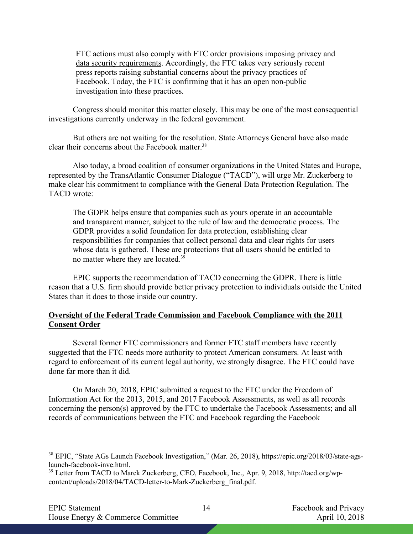FTC actions must also comply with FTC order provisions imposing privacy and data security requirements. Accordingly, the FTC takes very seriously recent press reports raising substantial concerns about the privacy practices of Facebook. Today, the FTC is confirming that it has an open non-public investigation into these practices.

Congress should monitor this matter closely. This may be one of the most consequential investigations currently underway in the federal government.

But others are not waiting for the resolution. State Attorneys General have also made clear their concerns about the Facebook matter. 38

Also today, a broad coalition of consumer organizations in the United States and Europe, represented by the TransAtlantic Consumer Dialogue ("TACD"), will urge Mr. Zuckerberg to make clear his commitment to compliance with the General Data Protection Regulation. The TACD wrote:

The GDPR helps ensure that companies such as yours operate in an accountable and transparent manner, subject to the rule of law and the democratic process. The GDPR provides a solid foundation for data protection, establishing clear responsibilities for companies that collect personal data and clear rights for users whose data is gathered. These are protections that all users should be entitled to no matter where they are located.<sup>39</sup>

EPIC supports the recommendation of TACD concerning the GDPR. There is little reason that a U.S. firm should provide better privacy protection to individuals outside the United States than it does to those inside our country.

## **Oversight of the Federal Trade Commission and Facebook Compliance with the 2011 Consent Order**

Several former FTC commissioners and former FTC staff members have recently suggested that the FTC needs more authority to protect American consumers. At least with regard to enforcement of its current legal authority, we strongly disagree. The FTC could have done far more than it did.

On March 20, 2018, EPIC submitted a request to the FTC under the Freedom of Information Act for the 2013, 2015, and 2017 Facebook Assessments, as well as all records concerning the person(s) approved by the FTC to undertake the Facebook Assessments; and all records of communications between the FTC and Facebook regarding the Facebook

 <sup>38</sup> EPIC, "State AGs Launch Facebook Investigation," (Mar. 26, 2018), https://epic.org/2018/03/state-agslaunch-facebook-inve.html.

<sup>&</sup>lt;sup>39</sup> Letter from TACD to Marck Zuckerberg, CEO, Facebook, Inc., Apr. 9, 2018, http://tacd.org/wpcontent/uploads/2018/04/TACD-letter-to-Mark-Zuckerberg\_final.pdf.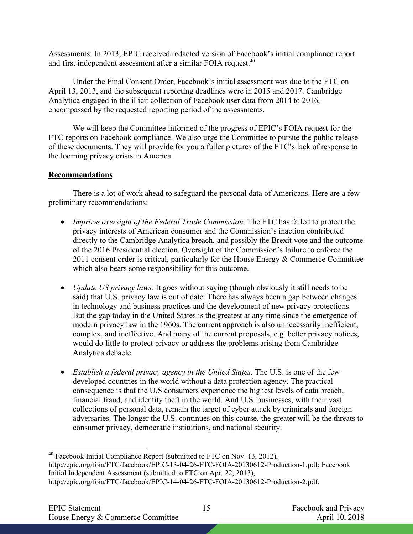Assessments. In 2013, EPIC received redacted version of Facebook's initial compliance report and first independent assessment after a similar FOIA request.<sup>40</sup>

Under the Final Consent Order, Facebook's initial assessment was due to the FTC on April 13, 2013, and the subsequent reporting deadlines were in 2015 and 2017. Cambridge Analytica engaged in the illicit collection of Facebook user data from 2014 to 2016, encompassed by the requested reporting period of the assessments.

We will keep the Committee informed of the progress of EPIC's FOIA request for the FTC reports on Facebook compliance. We also urge the Committee to pursue the public release of these documents. They will provide for you a fuller pictures of the FTC's lack of response to the looming privacy crisis in America.

# **Recommendations**

There is a lot of work ahead to safeguard the personal data of Americans. Here are a few preliminary recommendations:

- *Improve oversight of the Federal Trade Commission*. The FTC has failed to protect the privacy interests of American consumer and the Commission's inaction contributed directly to the Cambridge Analytica breach, and possibly the Brexit vote and the outcome of the 2016 Presidential election. Oversight of the Commission's failure to enforce the 2011 consent order is critical, particularly for the House Energy & Commerce Committee which also bears some responsibility for this outcome.
- *Update US privacy laws.* It goes without saying (though obviously it still needs to be said) that U.S. privacy law is out of date. There has always been a gap between changes in technology and business practices and the development of new privacy protections. But the gap today in the United States is the greatest at any time since the emergence of modern privacy law in the 1960s. The current approach is also unnecessarily inefficient, complex, and ineffective. And many of the current proposals, e.g. better privacy notices, would do little to protect privacy or address the problems arising from Cambridge Analytica debacle.
- *Establish a federal privacy agency in the United States*. The U.S. is one of the few developed countries in the world without a data protection agency. The practical consequence is that the U.S consumers experience the highest levels of data breach, financial fraud, and identity theft in the world. And U.S. businesses, with their vast collections of personal data, remain the target of cyber attack by criminals and foreign adversaries. The longer the U.S. continues on this course, the greater will be the threats to consumer privacy, democratic institutions, and national security.

<sup>&</sup>lt;sup>40</sup> Facebook Initial Compliance Report (submitted to FTC on Nov. 13, 2012), http://epic.org/foia/FTC/facebook/EPIC-13-04-26-FTC-FOIA-20130612-Production-1.pdf; Facebook Initial Independent Assessment (submitted to FTC on Apr. 22, 2013), http://epic.org/foia/FTC/facebook/EPIC-14-04-26-FTC-FOIA-20130612-Production-2.pdf.